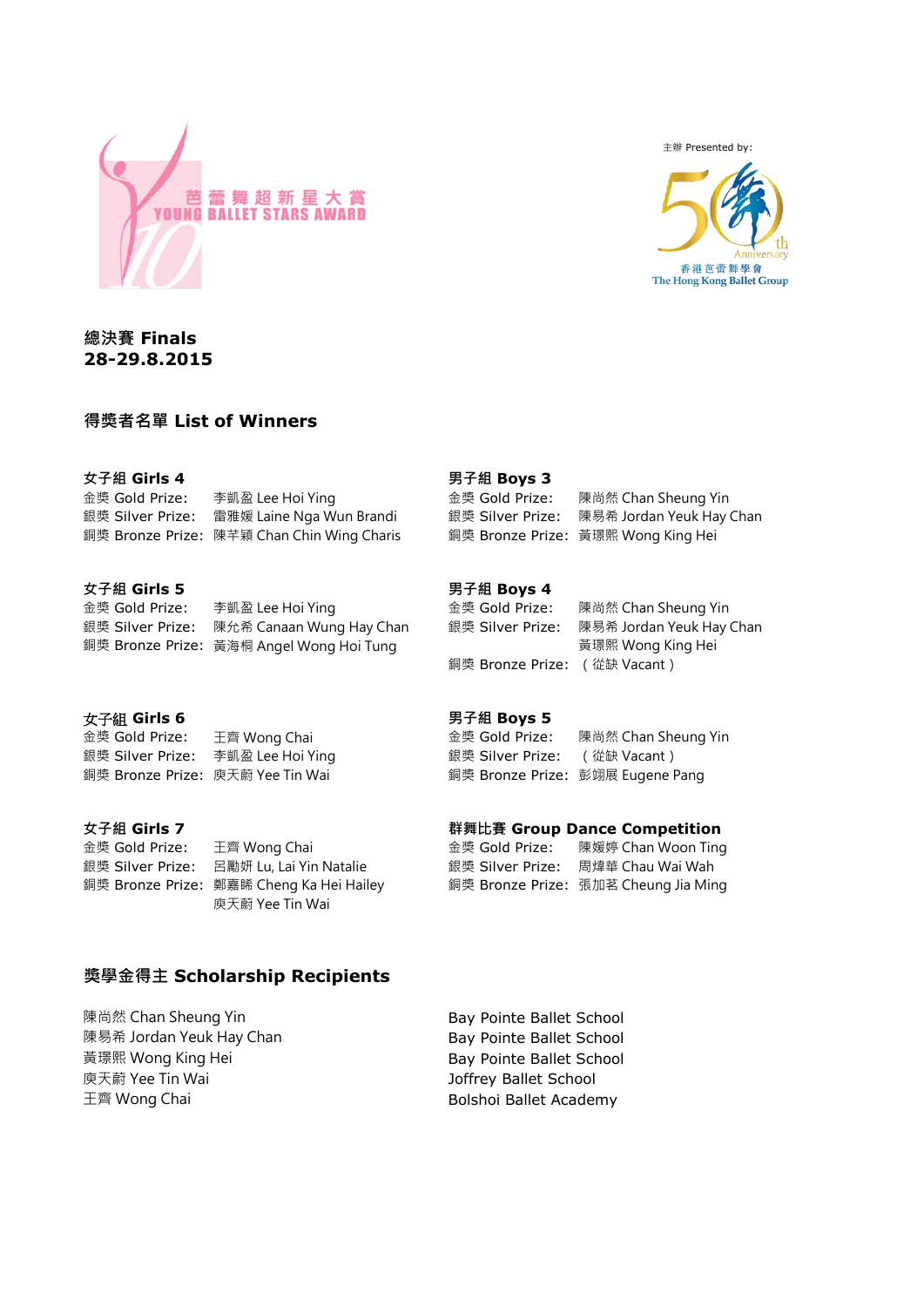

主辦 Presented by:



**總決賽 Finals 28-29.8.2015**

# **得獎者名單 List of Winners**

| 女子組 Girls 4      |                                            | 男子組 Boys 3     |                                           |
|------------------|--------------------------------------------|----------------|-------------------------------------------|
| 金獎 Gold Prize:   | 李凱盈 Lee Hoi Ying                           | 金獎 Gold Prize: | 陳尚然 Chan Sheung Yin                       |
| 銀獎 Silver Prize: | 雷雅媛 Laine Nga Wun Brandi                   |                | 銀獎 Silver Prize: 陳易希 Jordan Yeuk Hay Chan |
|                  | 鋼獎 Bronze Prize: 陳芊穎 Chan Chin Wing Charis |                | 銅獎 Bronze Prize: 黃璟熙 Wong King Hei        |

#### **女子組 Girls 5 男子組 Boys 4**

金獎 Gold Prize: 李凱盈 Lee Hoi Ying 金獎 Gold Prize: 陳尚然 Chan Sheung Yin 銀獎 Silver Prize: 陳允希 Canaan Wung Hay Chan 銀獎 Silver Prize: 陳易希 Jordan Yeuk Hay Chan 銅獎 Bronze Prize: 黃海桐 Angel Wong Hoi Tung インチング こうしょう 黄璟熙 Wong King Hei

### 女子組 **Girls 6**

金獎 Gold Prize: 王齊 Wong Chai 金獎 Gold Prize: 陳尚然 Chan Sheung Yin

金獎 Gold Prize: 王齊 Wong Chai 銀獎 Silver Prize: 呂勵妍 Lu, Lai Yin Natalie 銅獎 Bronze Prize: 鄭嘉睎 Cheng Ka Hei Hailey 庾天蔚 Yee Tin Wai

#### **男子組 Boys 5**

銀獎 Silver Prize: 李凱盈 Lee Hoi Ying インプレント 銀獎 Silver Prize: (從缺 Vacant) 銅獎 Bronze Prize: 庾天蔚 Yee Tin Wai インクリン 銅獎 Bronze Prize: 彭翊展 Eugene Pang

銅獎 Bronze Prize: (從缺 Vacant)

#### **女子組 Girls 7 群舞比賽 Group Dance Competition**

| 金獎 Gold Prize:   | 陳媛婷 Chan Woon Ting                   |
|------------------|--------------------------------------|
| 銀獎 Silver Prize: | 周煒華 Chau Wai Wah                     |
|                  | 銅獎 Bronze Prize: 張加茗 Cheung Jia Ming |

# **獎學金得主 Scholarship Recipients**

陳尚然 Chan Sheung Yin **Bay Pointe Ballet School** 陳易希 Jordan Yeuk Hay Chan Bay Pointe Ballet School 黃璟熙 Wong King Hei **Bay Pointe Ballet School** 庾天蔚 Yee Tin Wai Joffrey Ballet School 王齊 Wong Chai **Bolshoi Ballet Academy**